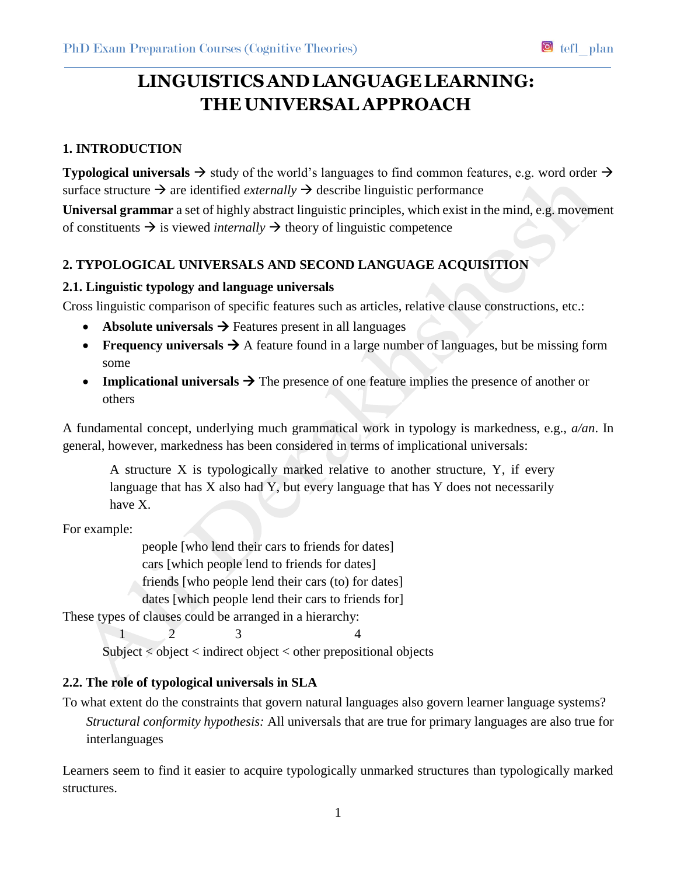# **LINGUISTICSANDLANGUAGELEARNING: THE UNIVERSAL APPROACH**

# **1. INTRODUCTION**

**Typological universals**  $\rightarrow$  study of the world's languages to find common features, e.g. word order  $\rightarrow$ surface structure  $\rightarrow$  are identified *externally*  $\rightarrow$  describe linguistic performance **Universal grammar** a set of highly abstract linguistic principles, which exist in the mind, e.g. movement

of constituents  $\rightarrow$  is viewed *internally*  $\rightarrow$  theory of linguistic competence

# **2. TYPOLOGICAL UNIVERSALS AND SECOND LANGUAGE ACQUISITION**

# **2.1. Linguistic typology and language universals**

Cross linguistic comparison of specific features such as articles, relative clause constructions, etc.:

- **Absolute universals**  $\rightarrow$  Features present in all languages
- **Figure 1.1.1.** Figure **Figure 1.1.1.** Figure found in a large number of languages, but be missing form some
- **Implicational universals**  $\rightarrow$  The presence of one feature implies the presence of another or others

A fundamental concept, underlying much grammatical work in typology is markedness, e.g., *a/an*. In general, however, markedness has been considered in terms of implicational universals:

A structure X is typologically marked relative to another structure, Y, if every language that has X also had Y, but every language that has Y does not necessarily have X.

For example:

people [who lend their cars to friends for dates] cars [which people lend to friends for dates] friends [who people lend their cars (to) for dates] dates [which people lend their cars to friends for]

These types of clauses could be arranged in a hierarchy:

1 2 3 4

Subject < object < indirect object < other prepositional objects

# **2.2. The role of typological universals in SLA**

To what extent do the constraints that govern natural languages also govern learner language systems? *Structural conformity hypothesis:* All universals that are true for primary languages are also true for interlanguages

Learners seem to find it easier to acquire typologically unmarked structures than typologically marked structures.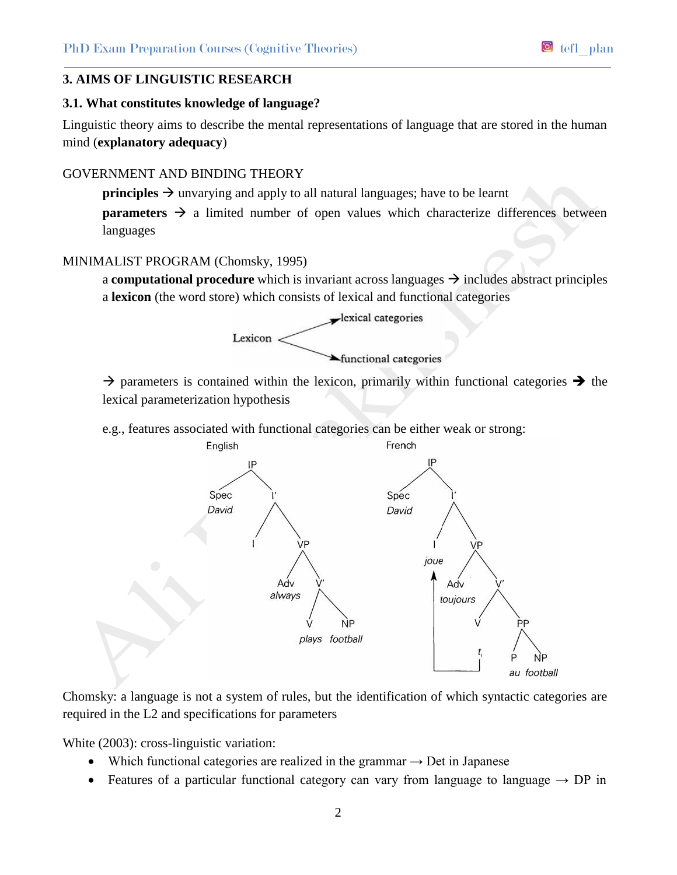## **3. AIMS OF LINGUISTIC RESEARCH**

#### **3.1. What constitutes knowledge of language?**

Linguistic theory aims to describe the mental representations of language that are stored in the human mind (**explanatory adequacy**)

## GOVERNMENT AND BINDING THEORY

**principles**  $\rightarrow$  unvarying and apply to all natural languages; have to be learnt

**parameters**  $\rightarrow$  a limited number of open values which characterize differences between languages

## MINIMALIST PROGRAM (Chomsky, 1995)

a **computational procedure** which is invariant across languages  $\rightarrow$  includes abstract principles a **lexicon** (the word store) which consists of lexical and functional categories



 $\rightarrow$  parameters is contained within the lexicon, primarily within functional categories  $\rightarrow$  the lexical parameterization hypothesis

e.g., features associated with functional categories can be either weak or strong:



Chomsky: a language is not a system of rules, but the identification of which syntactic categories are required in the L2 and specifications for parameters

White (2003): cross-linguistic variation:

- Which functional categories are realized in the grammar  $\rightarrow$  Det in Japanese
- Features of a particular functional category can vary from language to language  $\rightarrow$  DP in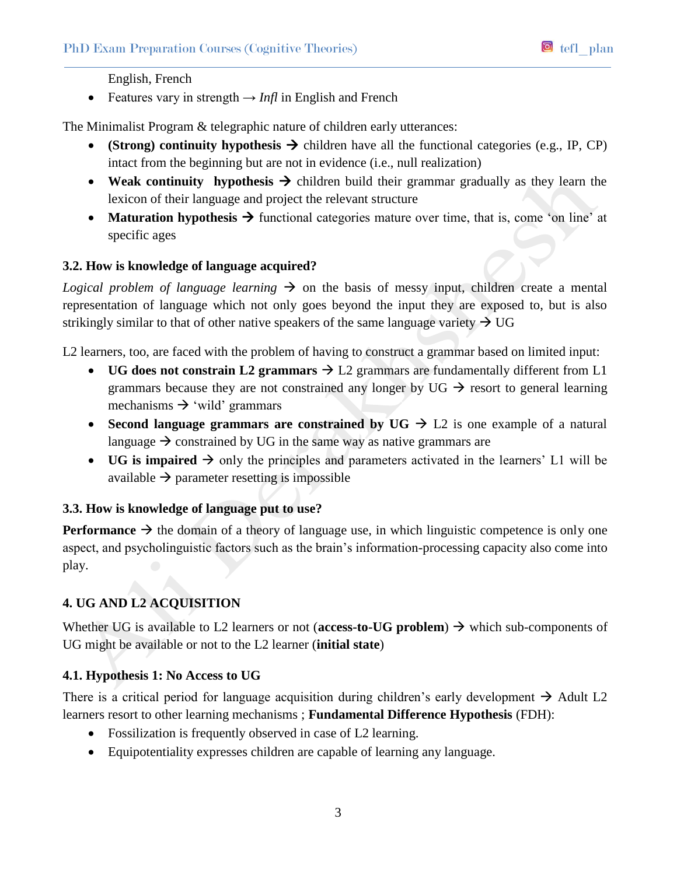English, French

Features vary in strength  $\rightarrow$  *Infl* in English and French

The Minimalist Program & telegraphic nature of children early utterances:

- **(Strong) continuity hypothesis**  $\rightarrow$  children have all the functional categories (e.g., IP, CP) intact from the beginning but are not in evidence (i.e., null realization)
- Weak continuity hypothesis  $\rightarrow$  children build their grammar gradually as they learn the lexicon of their language and project the relevant structure
- **Maturation hypothesis**  $\rightarrow$  functional categories mature over time, that is, come 'on line' at specific ages

## **3.2. How is knowledge of language acquired?**

*Logical problem of language learning*  $\rightarrow$  on the basis of messy input, children create a mental representation of language which not only goes beyond the input they are exposed to, but is also strikingly similar to that of other native speakers of the same language variety  $\rightarrow$  UG

L2 learners, too, are faced with the problem of having to construct a grammar based on limited input:

- **UG does not constrain L2 grammars**  $\rightarrow$  L2 grammars are fundamentally different from L1 grammars because they are not constrained any longer by UG  $\rightarrow$  resort to general learning mechanisms  $\rightarrow$  'wild' grammars
- Second language grammars are constrained by  $UG \rightarrow L2$  is one example of a natural language  $\rightarrow$  constrained by UG in the same way as native grammars are
- UG is impaired  $\rightarrow$  only the principles and parameters activated in the learners' L1 will be available  $\rightarrow$  parameter resetting is impossible

#### **3.3. How is knowledge of language put to use?**

**Performance**  $\rightarrow$  the domain of a theory of language use, in which linguistic competence is only one aspect, and psycholinguistic factors such as the brain's information-processing capacity also come into play.

# **4. UG AND L2 ACQUISITION**

Whether UG is available to L2 learners or not (**access-to-UG problem**)  $\rightarrow$  which sub-components of UG might be available or not to the L2 learner (**initial state**)

# **4.1. Hypothesis 1: No Access to UG**

There is a critical period for language acquisition during children's early development  $\rightarrow$  Adult L2 learners resort to other learning mechanisms ; **Fundamental Difference Hypothesis** (FDH):

- Fossilization is frequently observed in case of L2 learning.
- Equipotentiality expresses children are capable of learning any language.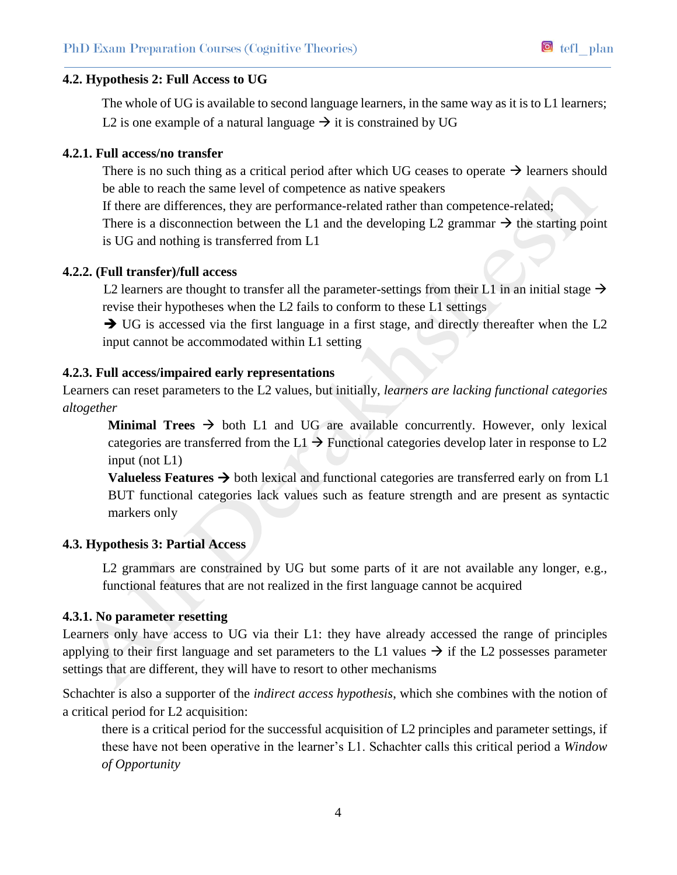The whole of UG is available to second language learners, in the same way as it is to L1 learners; L2 is one example of a natural language  $\rightarrow$  it is constrained by UG

## **4.2.1. Full access/no transfer**

There is no such thing as a critical period after which UG ceases to operate  $\rightarrow$  learners should be able to reach the same level of competence as native speakers

If there are differences, they are performance-related rather than competence-related; There is a disconnection between the L1 and the developing L2 grammar  $\rightarrow$  the starting point is UG and nothing is transferred from L1

#### **4.2.2. (Full transfer)/full access**

L2 learners are thought to transfer all the parameter-settings from their L1 in an initial stage  $\rightarrow$ revise their hypotheses when the L2 fails to conform to these L1 settings

 $\rightarrow$  UG is accessed via the first language in a first stage, and directly thereafter when the L2 input cannot be accommodated within L1 setting

#### **4.2.3. Full access/impaired early representations**

Learners can reset parameters to the L2 values, but initially, *learners are lacking functional categories altogether*

**Minimal Trees**  $\rightarrow$  both L1 and UG are available concurrently. However, only lexical categories are transferred from the L1  $\rightarrow$  Functional categories develop later in response to L2 input (not L1)

**Valueless Features**  $\rightarrow$  both lexical and functional categories are transferred early on from L1 BUT functional categories lack values such as feature strength and are present as syntactic markers only

#### **4.3. Hypothesis 3: Partial Access**

L2 grammars are constrained by UG but some parts of it are not available any longer, e.g., functional features that are not realized in the first language cannot be acquired

#### **4.3.1. No parameter resetting**

Learners only have access to UG via their L1: they have already accessed the range of principles applying to their first language and set parameters to the L1 values  $\rightarrow$  if the L2 possesses parameter settings that are different, they will have to resort to other mechanisms

Schachter is also a supporter of the *indirect access hypothesis*, which she combines with the notion of a critical period for L2 acquisition:

there is a critical period for the successful acquisition of L2 principles and parameter settings, if these have not been operative in the learner's L1. Schachter calls this critical period a *Window of Opportunity*